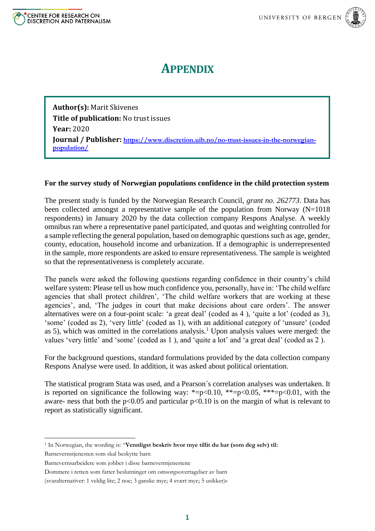



## **APPENDIX**

**Author(s):** Marit Skivenes **Title of publication:** No trust issues **Year:** 2020 **Journal / Publisher: [https://www.discretion.uib.no/no-trust-issues-in-the-norwegian](https://www.discretion.uib.no/no-trust-issues-in-the-norwegian-population/)[population/](https://www.discretion.uib.no/no-trust-issues-in-the-norwegian-population/)**

## **For the survey study of Norwegian populations confidence in the child protection system**

The present study is funded by the Norwegian Research Council, *grant no. 262773*. Data has been collected amongst a representative sample of the population from Norway (N=1018 respondents) in January 2020 by the data collection company Respons Analyse. A weekly omnibus ran where a representative panel participated, and quotas and weighting controlled for a sample reflecting the general population, based on demographic questions such as age, gender, county, education, household income and urbanization. If a demographic is underrepresented in the sample, more respondents are asked to ensure representativeness. The sample is weighted so that the representativeness is completely accurate.

The panels were asked the following questions regarding confidence in their country's child welfare system: Please tell us how much confidence you, personally, have in: 'The child welfare agencies that shall protect children', 'The child welfare workers that are working at these agencies', and, 'The judges in court that make decisions about care orders'. The answer alternatives were on a four-point scale: 'a great deal' (coded as 4 ), 'quite a lot' (coded as 3), 'some' (coded as 2), 'very little' (coded as 1), with an additional category of 'unsure' (coded as 5), which was omitted in the correlations analysis.<sup>1</sup> Upon analysis values were merged: the values 'very little' and 'some' (coded as 1 ), and 'quite a lot' and 'a great deal' (coded as 2 ).

For the background questions, standard formulations provided by the data collection company Respons Analyse were used. In addition, it was asked about political orientation.

The statistical program Stata was used, and a Pearson´s correlation analyses was undertaken. It is reported on significance the following way: \*=p<0.10, \*\*=p<0.05, \*\*\*=p<0.01, with the aware- ness that both the  $p<0.05$  and particular  $p<0.10$  is on the margin of what is relevant to report as statistically significant.

Barnevernstjenesten som skal beskytte barn

**<sup>.</sup>** <sup>1</sup> In Norwegian, the wording is: "**Vennligst beskriv hvor mye tillit du har (som deg selv) til:**

Barnevernsarbeidere som jobber i disse barneverntjenestene

Dommere i retten som fatter beslutninger om omsorgsovertagelser av barn

<sup>(</sup>svaralternativer: 1 veldig lite; 2 noe; 3 ganske mye; 4 svært mye; 5 usikker)»